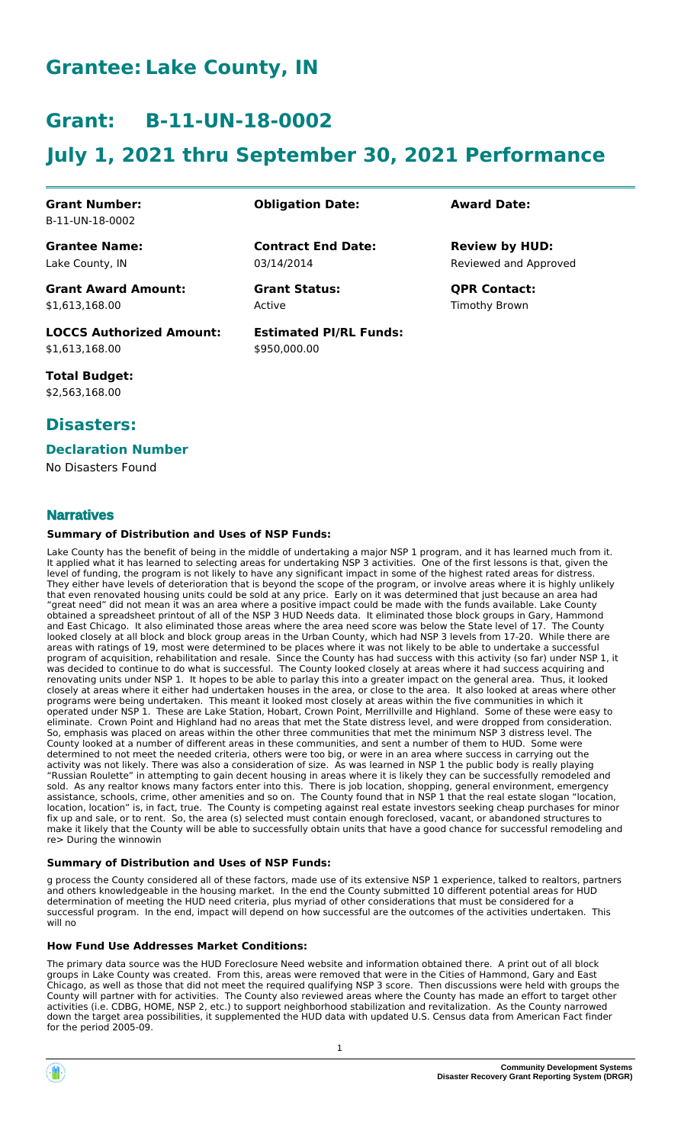# **Grantee: Lake County, IN**

# **Grant: B-11-UN-18-0002**

# **July 1, 2021 thru September 30, 2021 Performance**

**Contract End Date:**

**Estimated PI/RL Funds:**

\$950,000.00

03/14/2014

Active

#### **Grant Number:** B-11-UN-18-0002

**Grantee Name:** Lake County, IN

**Grant Award Amount:** \$1,613,168.00

**LOCCS Authorized Amount:** \$1,613,168.00

**Total Budget:** \$2,563,168.00

# **Disasters:**

### **Declaration Number**

No Disasters Found

#### **Narratives**

#### **Summary of Distribution and Uses of NSP Funds:**

Lake County has the benefit of being in the middle of undertaking a major NSP 1 program, and it has learned much from it. It applied what it has learned to selecting areas for undertaking NSP 3 activities. One of the first lessons is that, given the level of funding, the program is not likely to have any significant impact in some of the highest rated areas for distress. They either have levels of deterioration that is beyond the scope of the program, or involve areas where it is highly unlikely that even renovated housing units could be sold at any price. Early on it was determined that just because an area had "great need" did not mean it was an area where a positive impact could be made with the funds available. Lake County obtained a spreadsheet printout of all of the NSP 3 HUD Needs data. It eliminated those block groups in Gary, Hammond and East Chicago. It also eliminated those areas where the area need score was below the State level of 17. The County looked closely at all block and block group areas in the Urban County, which had NSP 3 levels from 17-20. While there are areas with ratings of 19, most were determined to be places where it was not likely to be able to undertake a successful program of acquisition, rehabilitation and resale. Since the County has had success with this activity (so far) under NSP 1, it was decided to continue to do what is successful. The County looked closely at areas where it had success acquiring and renovating units under NSP 1. It hopes to be able to parlay this into a greater impact on the general area. Thus, it looked closely at areas where it either had undertaken houses in the area, or close to the area. It also looked at areas where other programs were being undertaken. This meant it looked most closely at areas within the five communities in which it operated under NSP 1. These are Lake Station, Hobart, Crown Point, Merrillville and Highland. Some of these were easy to eliminate. Crown Point and Highland had no areas that met the State distress level, and were dropped from consideration. So, emphasis was placed on areas within the other three communities that met the minimum NSP 3 distress level. The County looked at a number of different areas in these communities, and sent a number of them to HUD. Some were determined to not meet the needed criteria, others were too big, or were in an area where success in carrying out the activity was not likely. There was also a consideration of size. As was learned in NSP 1 the public body is really playing "Russian Roulette" in attempting to gain decent housing in areas where it is likely they can be successfully remodeled and sold. As any realtor knows many factors enter into this. There is job location, shopping, general environment, emergency assistance, schools, crime, other amenities and so on. The County found that in NSP 1 that the real estate slogan "location, location, location" is, in fact, true. The County is competing against real estate investors seeking cheap purchases for minor fix up and sale, or to rent. So, the area (s) selected must contain enough foreclosed, vacant, or abandoned structures to make it likely that the County will be able to successfully obtain units that have a good chance for successful remodeling and re> During the winnowin

#### **Summary of Distribution and Uses of NSP Funds:**

g process the County considered all of these factors, made use of its extensive NSP 1 experience, talked to realtors, partners and others knowledgeable in the housing market. In the end the County submitted 10 different potential areas for HUD determination of meeting the HUD need criteria, plus myriad of other considerations that must be considered for a successful program. In the end, impact will depend on how successful are the outcomes of the activities undertaken. This will no

#### **How Fund Use Addresses Market Conditions:**

The primary data source was the HUD Foreclosure Need website and information obtained there. A print out of all block groups in Lake County was created. From this, areas were removed that were in the Cities of Hammond, Gary and East Chicago, as well as those that did not meet the required qualifying NSP 3 score. Then discussions were held with groups the County will partner with for activities. The County also reviewed areas where the County has made an effort to target other activities (i.e. CDBG, HOME, NSP 2, etc.) to support neighborhood stabilization and revitalization. As the County narrowed down the target area possibilities, it supplemented the HUD data with updated U.S. Census data from American Fact finder for the period 2005-09.

## **Obligation Date: Award Date:**

Reviewed and Approved **Review by HUD:**

**Grant Status: QPR Contact:** Timothy Brown

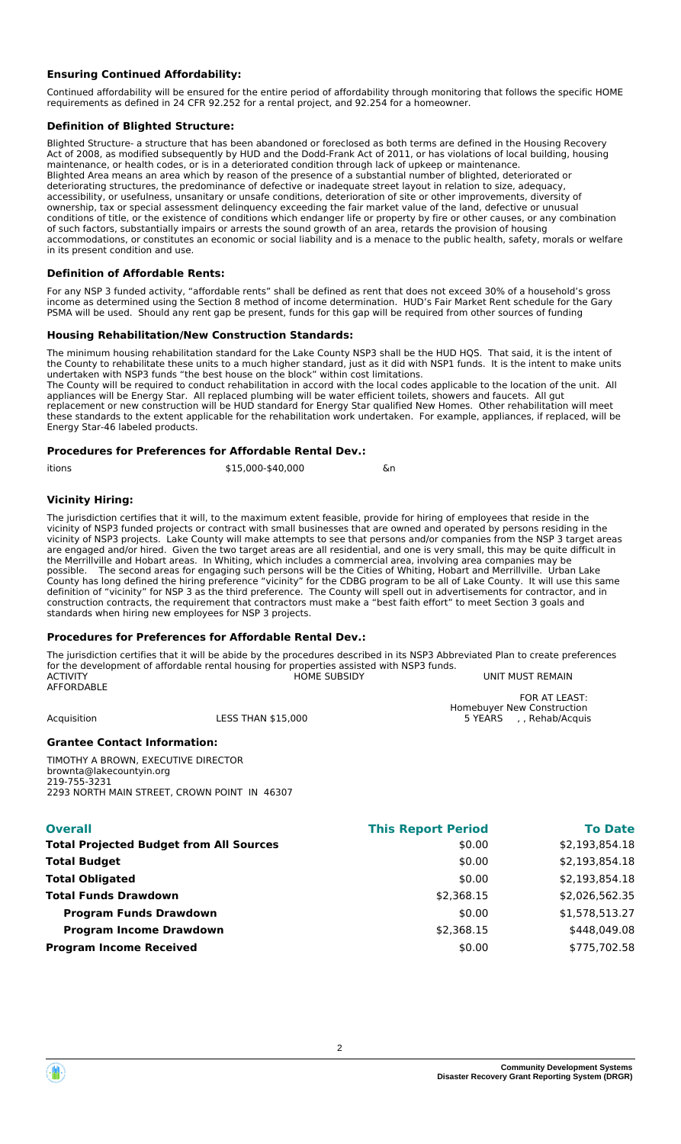### **Ensuring Continued Affordability:**

Continued affordability will be ensured for the entire period of affordability through monitoring that follows the specific HOME requirements as defined in 24 CFR 92.252 for a rental project, and 92.254 for a homeowner.

#### **Definition of Blighted Structure:**

Blighted Structure- a structure that has been abandoned or foreclosed as both terms are defined in the Housing Recovery Act of 2008, as modified subsequently by HUD and the Dodd-Frank Act of 2011, or has violations of local building, housing maintenance, or health codes, or is in a deteriorated condition through lack of upkeep or maintenance. Blighted Area means an area which by reason of the presence of a substantial number of blighted, deteriorated or deteriorating structures, the predominance of defective or inadequate street layout in relation to size, adequacy, accessibility, or usefulness, unsanitary or unsafe conditions, deterioration of site or other improvements, diversity of ownership, tax or special assessment delinquency exceeding the fair market value of the land, defective or unusual conditions of title, or the existence of conditions which endanger life or property by fire or other causes, or any combination of such factors, substantially impairs or arrests the sound growth of an area, retards the provision of housing accommodations, or constitutes an economic or social liability and is a menace to the public health, safety, morals or welfare in its present condition and use.

#### **Definition of Affordable Rents:**

For any NSP 3 funded activity, "affordable rents" shall be defined as rent that does not exceed 30% of a household's gross income as determined using the Section 8 method of income determination. HUD's Fair Market Rent schedule for the Gary PSMA will be used. Should any rent gap be present, funds for this gap will be required from other sources of funding

#### **Housing Rehabilitation/New Construction Standards:**

The minimum housing rehabilitation standard for the Lake County NSP3 shall be the HUD HQS. That said, it is the intent of the County to rehabilitate these units to a much higher standard, just as it did with NSP1 funds. It is the intent to make units undertaken with NSP3 funds "the best house on the block" within cost limitations. The County will be required to conduct rehabilitation in accord with the local codes applicable to the location of the unit. All

appliances will be Energy Star. All replaced plumbing will be water efficient toilets, showers and faucets. All gut replacement or new construction will be HUD standard for Energy Star qualified New Homes. Other rehabilitation will meet these standards to the extent applicable for the rehabilitation work undertaken. For example, appliances, if replaced, will be Energy Star-46 labeled products.

#### **Procedures for Preferences for Affordable Rental Dev.:**

| \$15,000-\$40,000 | &n |
|-------------------|----|
|                   |    |

#### **Vicinity Hiring:**

The jurisdiction certifies that it will, to the maximum extent feasible, provide for hiring of employees that reside in the vicinity of NSP3 funded projects or contract with small businesses that are owned and operated by persons residing in the vicinity of NSP3 projects. Lake County will make attempts to see that persons and/or companies from the NSP 3 target areas are engaged and/or hired. Given the two target areas are all residential, and one is very small, this may be quite difficult in the Merrillville and Hobart areas. In Whiting, which includes a commercial area, involving area companies may be possible. The second areas for engaging such persons will be the Cities of Whiting, Hobart and Merrillville. Urban Lake County has long defined the hiring preference "vicinity" for the CDBG program to be all of Lake County. It will use this same definition of "vicinity" for NSP 3 as the third preference. The County will spell out in advertisements for contractor, and in construction contracts, the requirement that contractors must make a "best faith effort" to meet Section 3 goals and standards when hiring new employees for NSP 3 projects.

#### **Procedures for Preferences for Affordable Rental Dev.:**

The jurisdiction certifies that it will be abide by the procedures described in its NSP3 Abbreviated Plan to create preferences for the development of affordable rental housing for properties assisted with NSP3 funds. UNIT MUST REMAIN **AFFORDABLE** 

FOR AT LEAST:

Homebuyer New Construction<br>Acquisition 15 DOO 5 YEARS Rehab/Acquisition 5 STEARS Rehab/Acquisition

#### **Grantee Contact Information:**

TIMOTHY A BROWN, EXECUTIVE DIRECTOR brownta@lakecountyin.org 219-755-3231 2293 NORTH MAIN STREET, CROWN POINT IN 46307

| <b>Overall</b>                                 | <b>This Report Period</b> | <b>To Date</b> |
|------------------------------------------------|---------------------------|----------------|
| <b>Total Projected Budget from All Sources</b> | \$0.00                    | \$2,193,854.18 |
| <b>Total Budget</b>                            | \$0.00                    | \$2,193,854.18 |
| <b>Total Obligated</b>                         | \$0.00                    | \$2,193,854.18 |
| <b>Total Funds Drawdown</b>                    | \$2,368.15                | \$2,026,562.35 |
| <b>Program Funds Drawdown</b>                  | \$0.00                    | \$1,578,513.27 |
| <b>Program Income Drawdown</b>                 | \$2,368.15                | \$448,049.08   |
| <b>Program Income Received</b>                 | \$0.00                    | \$775,702.58   |
|                                                |                           |                |

, , Rehab/Acquis

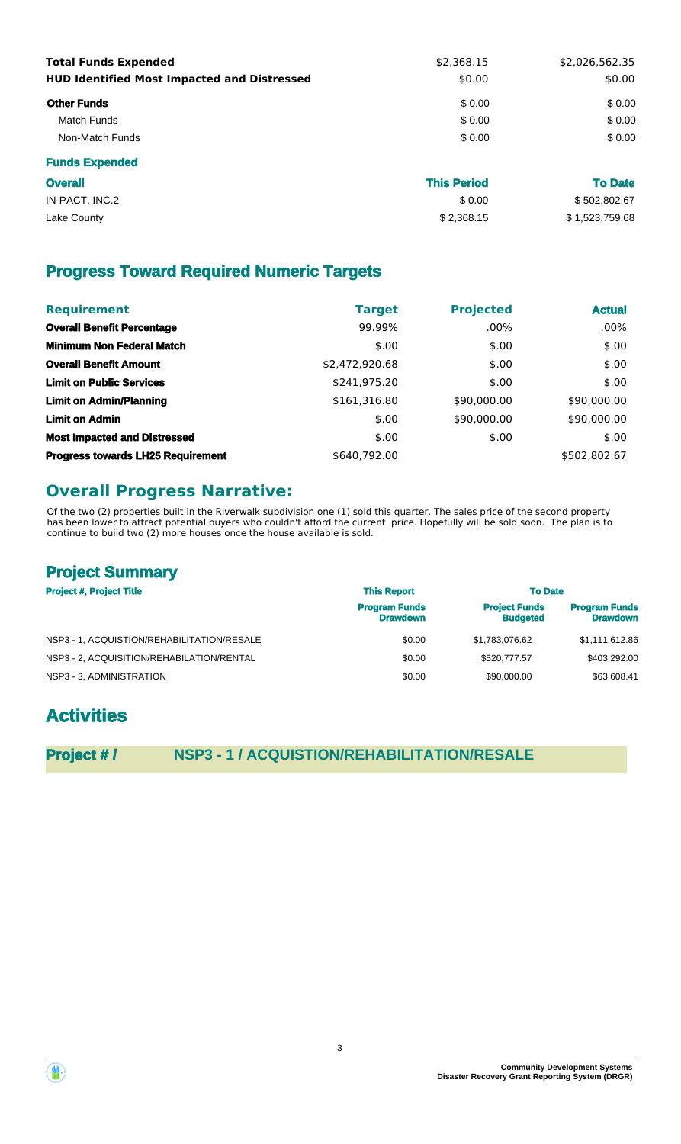| <b>Total Funds Expended</b><br><b>HUD Identified Most Impacted and Distressed</b> | \$2,368.15<br>\$0.00 | \$2,026,562.35<br>\$0.00 |  |
|-----------------------------------------------------------------------------------|----------------------|--------------------------|--|
| <b>Other Funds</b>                                                                | \$0.00               | \$0.00                   |  |
| Match Funds                                                                       | \$0.00               | \$0.00                   |  |
| Non-Match Funds                                                                   | \$0.00               | \$0.00                   |  |
| <b>Funds Expended</b>                                                             |                      |                          |  |

| <b>Overall</b> | <b>This Period</b> | <b>To Date</b> |
|----------------|--------------------|----------------|
| IN-PACT, INC.2 | \$0.00             | \$502,802.67   |
| Lake County    | \$2,368.15         | \$1,523,759.68 |

# **Progress Toward Required Numeric Targets**

| <b>Requirement</b>                       | <b>Target</b>  | <b>Projected</b> | <b>Actual</b> |
|------------------------------------------|----------------|------------------|---------------|
| <b>Overall Benefit Percentage</b>        | 99.99%         | $.00\%$          | $.00\%$       |
| <b>Minimum Non Federal Match</b>         | \$.00          | \$.00            | \$.00         |
| <b>Overall Benefit Amount</b>            | \$2,472,920.68 | \$.00            | \$.00         |
| <b>Limit on Public Services</b>          | \$241,975.20   | \$.00            | \$.00         |
| <b>Limit on Admin/Planning</b>           | \$161,316.80   | \$90,000.00      | \$90,000.00   |
| <b>Limit on Admin</b>                    | \$.00          | \$90,000.00      | \$90,000.00   |
| <b>Most Impacted and Distressed</b>      | \$.00          | \$.00            | \$.00         |
| <b>Progress towards LH25 Requirement</b> | \$640.792.00   |                  | \$502,802.67  |

# **Overall Progress Narrative:**

Of the two (2) properties built in the Riverwalk subdivision one (1) sold this quarter. The sales price of the second property has been lower to attract potential buyers who couldn't afford the current price. Hopefully will be sold soon. The plan is to continue to build two (2) more houses once the house available is sold.

# **Project Summary**

| <b>Project #, Project Title</b>            | <b>This Report</b>                      | <b>To Date</b>                          |                                         |  |
|--------------------------------------------|-----------------------------------------|-----------------------------------------|-----------------------------------------|--|
|                                            | <b>Program Funds</b><br><b>Drawdown</b> | <b>Project Funds</b><br><b>Budgeted</b> | <b>Program Funds</b><br><b>Drawdown</b> |  |
| NSP3 - 1, ACQUISTION/REHABILITATION/RESALE | \$0.00                                  | \$1.783.076.62                          | \$1,111,612.86                          |  |
| NSP3 - 2. ACQUISITION/REHABILATION/RENTAL  | \$0.00                                  | \$520,777.57                            | \$403,292,00                            |  |
| NSP3 - 3. ADMINISTRATION                   | \$0.00                                  | \$90,000,00                             | \$63,608.41                             |  |

# **Activities**

**Project # / NSP3 - 1 / ACQUISTION/REHABILITATION/RESALE**



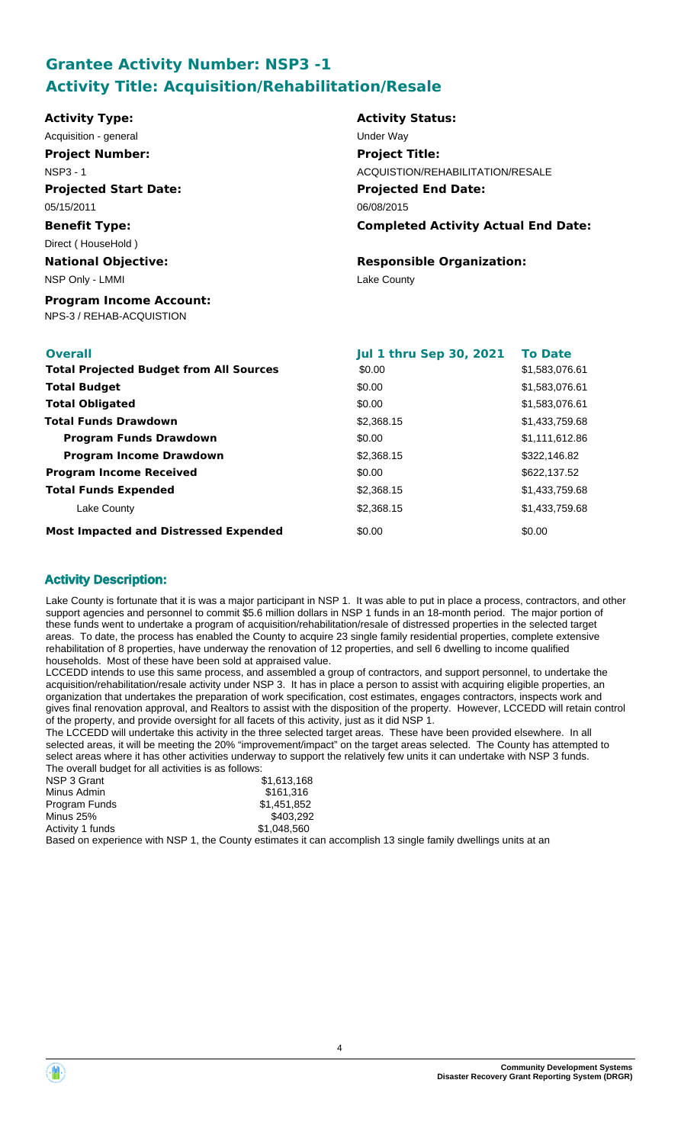# **Grantee Activity Number: NSP3 -1 Activity Title: Acquisition/Rehabilitation/Resale**

| <b>Activity Type:</b>                                      | <b>Activity Status:</b>                    |                |  |
|------------------------------------------------------------|--------------------------------------------|----------------|--|
| Acquisition - general                                      | Under Way                                  |                |  |
| <b>Project Number:</b>                                     | <b>Project Title:</b>                      |                |  |
| <b>NSP3 - 1</b>                                            | ACQUISTION/REHABILITATION/RESALE           |                |  |
| <b>Projected Start Date:</b>                               | <b>Projected End Date:</b>                 |                |  |
| 05/15/2011                                                 | 06/08/2015                                 |                |  |
| <b>Benefit Type:</b>                                       | <b>Completed Activity Actual End Date:</b> |                |  |
| Direct (HouseHold)                                         |                                            |                |  |
| <b>National Objective:</b>                                 | <b>Responsible Organization:</b>           |                |  |
| NSP Only - LMMI                                            | Lake County                                |                |  |
| <b>Program Income Account:</b><br>NPS-3 / REHAB-ACQUISTION |                                            |                |  |
| <b>Overall</b>                                             | <b>Jul 1 thru Sep 30, 2021</b>             | <b>To Date</b> |  |
| <b>Total Projected Budget from All Sources</b>             | \$0.00                                     | \$1,583,076.61 |  |
| <b>Total Budget</b>                                        | \$0.00                                     | \$1,583,076.61 |  |
| <b>Total Obligated</b>                                     | \$0.00                                     | \$1,583,076.61 |  |

| <b>Total Obligated</b>                       | \$0.00     | \$1,583,076.61 |
|----------------------------------------------|------------|----------------|
| Total Funds Drawdown                         | \$2,368.15 | \$1,433,759.68 |
| <b>Program Funds Drawdown</b>                | \$0.00     | \$1,111,612.86 |
| <b>Program Income Drawdown</b>               | \$2,368.15 | \$322,146.82   |
| <b>Program Income Received</b>               | \$0.00     | \$622,137.52   |
| <b>Total Funds Expended</b>                  | \$2,368.15 | \$1,433,759.68 |
| Lake County                                  | \$2,368.15 | \$1,433,759.68 |
| <b>Most Impacted and Distressed Expended</b> | \$0.00     | \$0.00         |

## **Activity Description:**

Lake County is fortunate that it is was a major participant in NSP 1. It was able to put in place a process, contractors, and other support agencies and personnel to commit \$5.6 million dollars in NSP 1 funds in an 18-month period. The major portion of these funds went to undertake a program of acquisition/rehabilitation/resale of distressed properties in the selected target areas. To date, the process has enabled the County to acquire 23 single family residential properties, complete extensive rehabilitation of 8 properties, have underway the renovation of 12 properties, and sell 6 dwelling to income qualified households. Most of these have been sold at appraised value.

LCCEDD intends to use this same process, and assembled a group of contractors, and support personnel, to undertake the acquisition/rehabilitation/resale activity under NSP 3. It has in place a person to assist with acquiring eligible properties, an organization that undertakes the preparation of work specification, cost estimates, engages contractors, inspects work and gives final renovation approval, and Realtors to assist with the disposition of the property. However, LCCEDD will retain control of the property, and provide oversight for all facets of this activity, just as it did NSP 1.

The LCCEDD will undertake this activity in the three selected target areas. These have been provided elsewhere. In all selected areas, it will be meeting the 20% "improvement/impact" on the target areas selected. The County has attempted to select areas where it has other activities underway to support the relatively few units it can undertake with NSP 3 funds. The overall budget for all activities is as follows:

| NSP 3 Grant                                                                                                                                                                                                                      | \$1,613,168 |
|----------------------------------------------------------------------------------------------------------------------------------------------------------------------------------------------------------------------------------|-------------|
| Minus Admin                                                                                                                                                                                                                      | \$161.316   |
| <b>Program Funds</b>                                                                                                                                                                                                             | \$1.451.852 |
| Minus 25%                                                                                                                                                                                                                        | \$403.292   |
| Activity 1 funds                                                                                                                                                                                                                 | \$1,048,560 |
| $\mathbb{R}$ and the contract of the contract of the contract of the contract of the contract of the contract of the contract of the contract of the contract of the contract of the contract of the contract of the contract of |             |

Based on experience with NSP 1, the County estimates it can accomplish 13 single family dwellings units at an